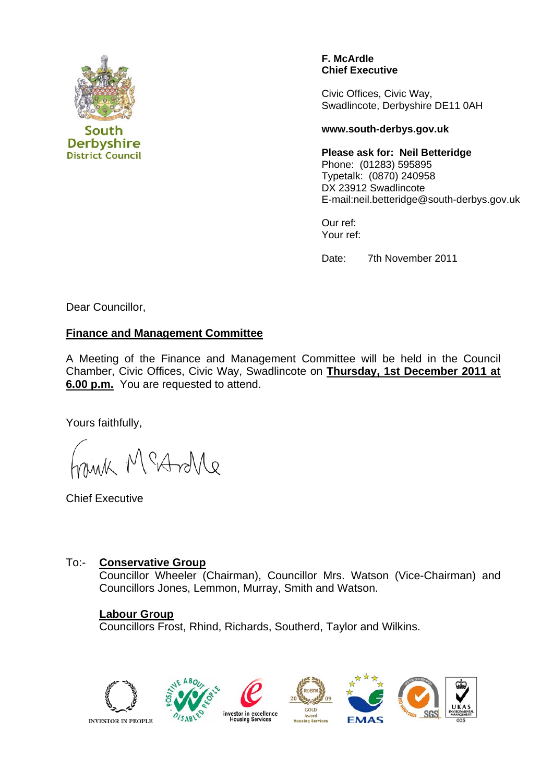

**District Council** 

**F. McArdle Chief Executive** 

Civic Offices, Civic Way, Swadlincote, Derbyshire DE11 0AH

#### **www.south-derbys.gov.uk**

**Please ask for: Neil Betteridge**  Phone: (01283) 595895 Typetalk: (0870) 240958 DX 23912 Swadlincote E-mail:neil.betteridge@south-derbys.gov.uk

Our ref: Your ref:

Date: 7th November 2011

Dear Councillor,

## **Finance and Management Committee**

A Meeting of the Finance and Management Committee will be held in the Council Chamber, Civic Offices, Civic Way, Swadlincote on **Thursday, 1st December 2011 at 6.00 p.m.** You are requested to attend.

Yours faithfully,

Mar McAnle

Chief Executive

### To:- **Conservative Group**

Councillor Wheeler (Chairman), Councillor Mrs. Watson (Vice-Chairman) and Councillors Jones, Lemmon, Murray, Smith and Watson.

### **Labour Group**

Councillors Frost, Rhind, Richards, Southerd, Taylor and Wilkins.

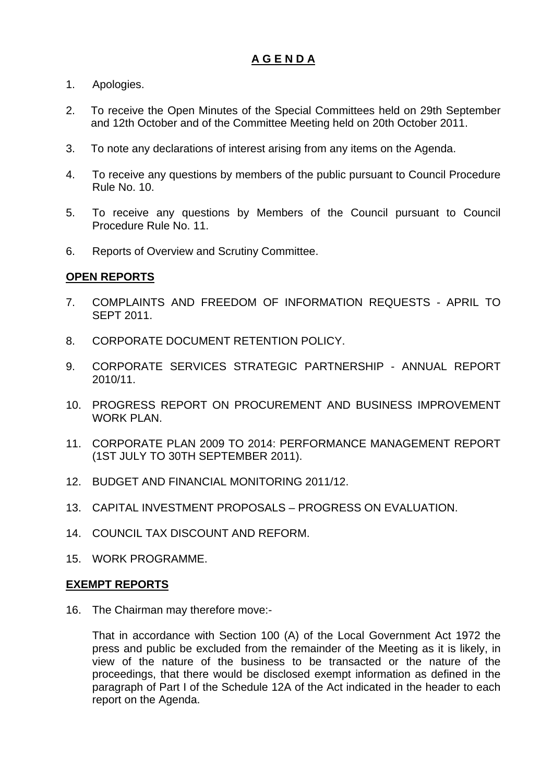# **A G E N D A**

- 1. Apologies.
- 2. To receive the Open Minutes of the Special Committees held on 29th September and 12th October and of the Committee Meeting held on 20th October 2011.
- 3. To note any declarations of interest arising from any items on the Agenda.
- 4. To receive any questions by members of the public pursuant to Council Procedure Rule No. 10.
- 5. To receive any questions by Members of the Council pursuant to Council Procedure Rule No. 11.
- 6. Reports of Overview and Scrutiny Committee.

## **OPEN REPORTS**

- 7. COMPLAINTS AND FREEDOM OF INFORMATION REQUESTS APRIL TO SEPT 2011.
- 8. CORPORATE DOCUMENT RETENTION POLICY.
- 9. CORPORATE SERVICES STRATEGIC PARTNERSHIP ANNUAL REPORT 2010/11.
- 10. PROGRESS REPORT ON PROCUREMENT AND BUSINESS IMPROVEMENT WORK PLAN.
- 11. CORPORATE PLAN 2009 TO 2014: PERFORMANCE MANAGEMENT REPORT (1ST JULY TO 30TH SEPTEMBER 2011).
- 12. BUDGET AND FINANCIAL MONITORING 2011/12.
- 13. CAPITAL INVESTMENT PROPOSALS PROGRESS ON EVALUATION.
- 14. COUNCIL TAX DISCOUNT AND REFORM.
- 15. WORK PROGRAMME.

### **EXEMPT REPORTS**

16. The Chairman may therefore move:-

 That in accordance with Section 100 (A) of the Local Government Act 1972 the press and public be excluded from the remainder of the Meeting as it is likely, in view of the nature of the business to be transacted or the nature of the proceedings, that there would be disclosed exempt information as defined in the paragraph of Part I of the Schedule 12A of the Act indicated in the header to each report on the Agenda.